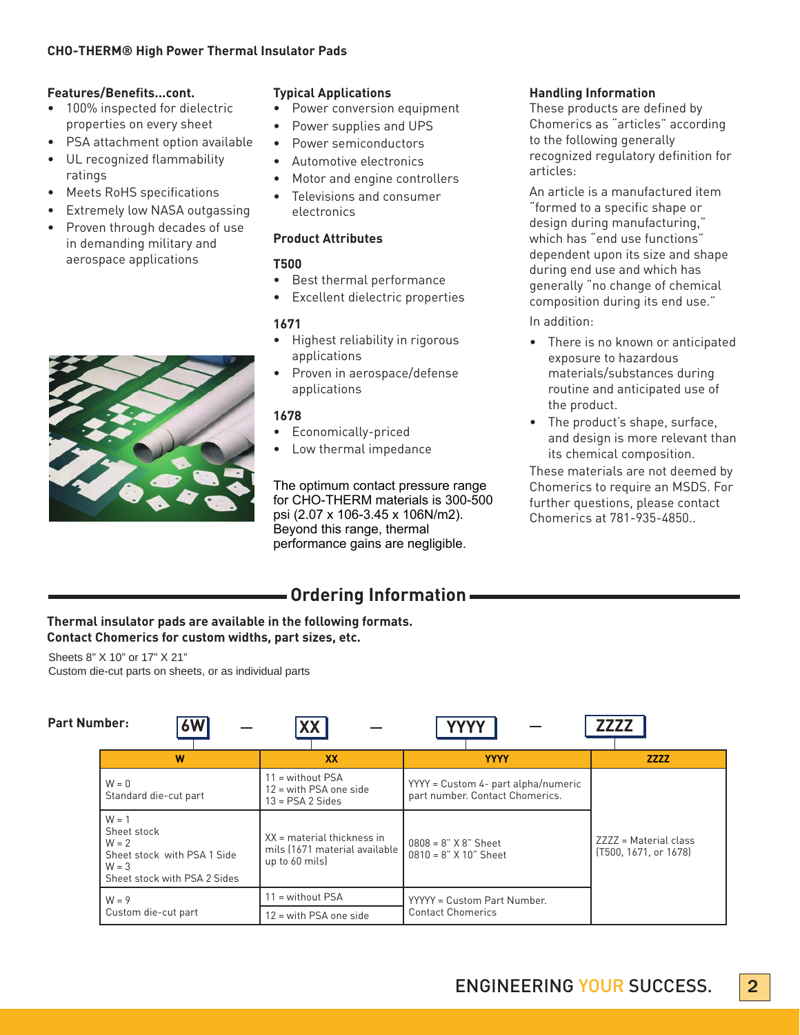# **Features/Benefits...cont.**

- 100% inspected for dielectric properties on every sheet
- **PSA attachment option available**
- • UL recognized flammability ratings
- **Meets RoHS specifications**
- Extremely low NASA outgassing
- Proven through decades of use in demanding military and aerospace applications



## **Typical Applications**

- Power conversion equipment
- Power supplies and UPS
- Power semiconductors
- Automotive electronics
- Motor and engine controllers
- Televisions and consumer electronics

# **Product Attributes**

# **T500**

- • Best thermal performance
- • Excellent dielectric properties

# **1671**

- • Highest reliability in rigorous applications
- Proven in aerospace/defense applications

# **1678**

- • Economically-priced
- Low thermal impedance

The optimum contact pressure range for CHO-THERM materials is 300-500 psi (2.07 x 106-3.45 x 106N/m2). Beyond this range, thermal performance gains are negligible.

#### **Handling Information**

These products are defined by Chomerics as "articles" according to the following generally recognized regulatory definition for articles:

An article is a manufactured item "formed to a specific shape or design during manufacturing," which has "end use functions" dependent upon its size and shape during end use and which has generally "no change of chemical composition during its end use."

In addition:

- • There is no known or anticipated exposure to hazardous materials/substances during routine and anticipated use of the product.
- • The product's shape, surface, and design is more relevant than its chemical composition.

These materials are not deemed by Chomerics to require an MSDS. For further questions, please contact Chomerics at 781-935-4850..

# **Ordering Information**

# **Thermal insulator pads are available in the following formats. Contact Chomerics for custom widths, part sizes, etc.**

Sheets 8" X 10" or 17" X 21" Custom die-cut parts on sheets, or as individual parts

| <b>Part Number:</b> | 6W                                                                                                          | <b>XX</b>                                                                       | <b>YYYY</b>                                                            | <b>ZZZZZ</b>                                   |  |  |
|---------------------|-------------------------------------------------------------------------------------------------------------|---------------------------------------------------------------------------------|------------------------------------------------------------------------|------------------------------------------------|--|--|
|                     | W                                                                                                           | <b>XX</b>                                                                       | <b>YYYY</b>                                                            | <b>ZZZZ</b>                                    |  |  |
|                     | $W = 0$<br>Standard die-cut part                                                                            | $11 =$ without PSA<br>$12$ = with PSA one side<br>$13 = PSA2$ Sides             | YYYY = Custom 4- part alpha/numeric<br>part number. Contact Chomerics. |                                                |  |  |
|                     | $W = 1$<br>Sheet stock<br>$W = 2$<br>Sheet stock with PSA 1 Side<br>$W = 3$<br>Sheet stock with PSA 2 Sides | $XX =$ material thickness in<br>mils (1671 material available<br>up to 60 mils) | $0808 = 8" X 8"$ Sheet<br>$0810 = 8"$ X 10" Sheet                      | ZZZZ = Material class<br>[T500, 1671, or 1678] |  |  |
|                     | $W = 9$                                                                                                     | $11 =$ without PSA                                                              | YYYYY = Custom Part Number.                                            |                                                |  |  |
|                     | Custom die-cut part                                                                                         | $12$ = with PSA one side                                                        | <b>Contact Chomerics</b>                                               |                                                |  |  |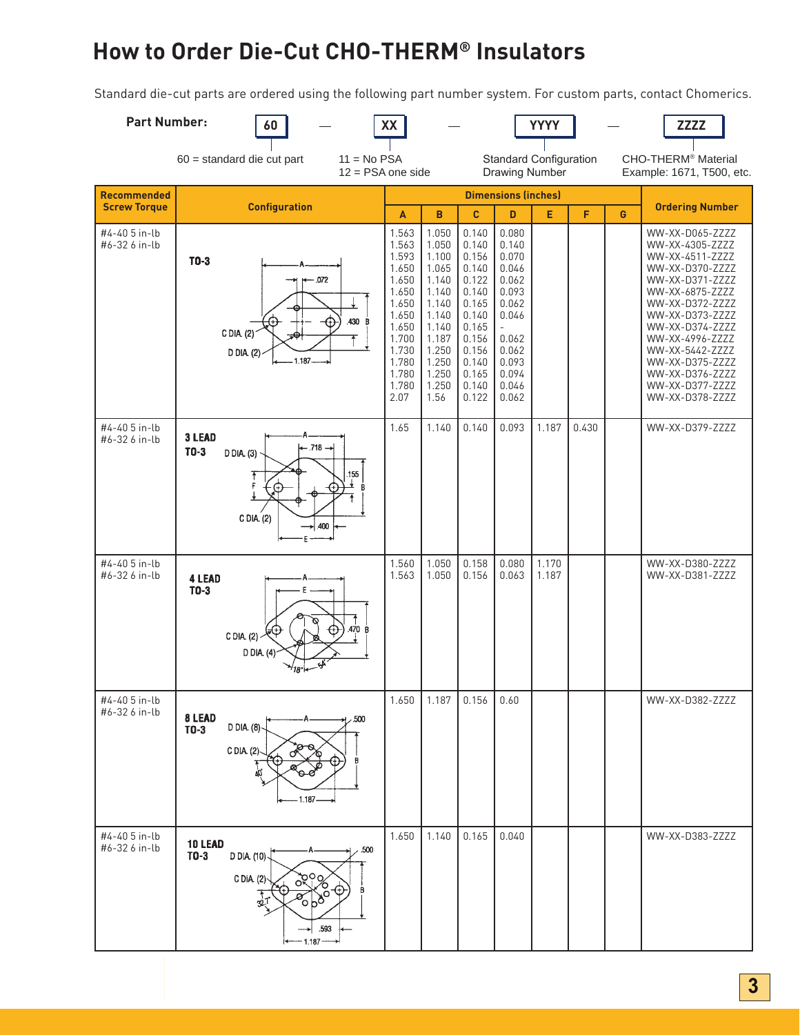# **How to Order Die-Cut CHO-THERM® Insulators**

Standard die-cut parts are ordered using the following part number system. For custom parts, contact Chomerics.

| <b>Part Number:</b>                                                                                                                                                                          | 60                                                                                                                 | XX                                                                                                                                      |                                                                                                                                         |                                                                                                                                          |                                                                                                                                 | <b>YYYY</b>    |                        |   | <b>ZZZZ</b>                                                                                                                                                                                                                                                                               |
|----------------------------------------------------------------------------------------------------------------------------------------------------------------------------------------------|--------------------------------------------------------------------------------------------------------------------|-----------------------------------------------------------------------------------------------------------------------------------------|-----------------------------------------------------------------------------------------------------------------------------------------|------------------------------------------------------------------------------------------------------------------------------------------|---------------------------------------------------------------------------------------------------------------------------------|----------------|------------------------|---|-------------------------------------------------------------------------------------------------------------------------------------------------------------------------------------------------------------------------------------------------------------------------------------------|
| 60 = standard die cut part<br>$11 = No PSA$<br><b>Standard Configuration</b><br>CHO-THERM <sup>®</sup> Material<br>$12 = PSA$ one side<br><b>Drawing Number</b><br>Example: 1671, T500, etc. |                                                                                                                    |                                                                                                                                         |                                                                                                                                         |                                                                                                                                          |                                                                                                                                 |                |                        |   |                                                                                                                                                                                                                                                                                           |
| <b>Recommended</b><br><b>Screw Torque</b>                                                                                                                                                    | <b>Dimensions (inches)</b><br><b>Configuration</b>                                                                 |                                                                                                                                         |                                                                                                                                         |                                                                                                                                          |                                                                                                                                 |                | <b>Ordering Number</b> |   |                                                                                                                                                                                                                                                                                           |
| #4-40 5 in-lb<br>#6-32 6 in-lb                                                                                                                                                               | $T0-3$<br>$-.072$<br>.430 B<br>C DIA (2)<br>D DIA (2)<br>1.187                                                     | A<br>1.563<br>1.563<br>1.593<br>1.650<br>1.650<br>1.650<br>1.650<br>1.650<br>1.650<br>1.700<br>1.730<br>1.780<br>1.780<br>1.780<br>2.07 | B<br>1.050<br>1.050<br>1.100<br>1.065<br>1.140<br>1.140<br>1.140<br>1.140<br>1.140<br>1.187<br>1.250<br>1.250<br>1.250<br>1.250<br>1.56 | C<br>0.140<br>0.140<br>0.156<br>0.140<br>0.122<br>0.140<br>0.165<br>0.140<br>0.165<br>0.156<br>0.156<br>0.140<br>0.165<br>0.140<br>0.122 | D<br>0.080<br>0.140<br>0.070<br>0.046<br>0.062<br>0.093<br>0.062<br>0.046<br>0.062<br>0.062<br>0.093<br>0.094<br>0.046<br>0.062 | E              | F                      | G | WW-XX-D065-ZZZZ<br>WW-XX-4305-ZZZZ<br>WW-XX-4511-ZZZZ<br>WW-XX-D370-ZZZZ<br>WW-XX-D371-ZZZZ<br>WW-XX-6875-ZZZZ<br>WW-XX-D372-ZZZZ<br>WW-XX-D373-ZZZZ<br>WW-XX-D374-ZZZZ<br>WW-XX-4996-ZZZZ<br>WW-XX-5442-ZZZZ<br>WW-XX-D375-ZZZZ<br>WW-XX-D376-ZZZZ<br>WW-XX-D377-ZZZZ<br>WW-XX-D378-ZZZZ |
| #4-40 5 in-lb<br>#6-32 6 in-lb                                                                                                                                                               | 3 LEAD<br>$-.718 \rightarrow$<br>$T0-3$<br>D DIA (3)<br>155<br>C DIA. (2)<br>.400                                  | 1.65                                                                                                                                    | 1.140                                                                                                                                   | 0.140                                                                                                                                    | 0.093                                                                                                                           | 1.187          | 0.430                  |   | WW-XX-D379-ZZZZ                                                                                                                                                                                                                                                                           |
| #4-40 5 in-lb<br>#6-32 6 in-lb                                                                                                                                                               | 4 LEAD<br>$TO-3$<br>.470 B<br>CDIA. (2)<br>$D$ DIA $(4)$                                                           | 1.560<br>1.563                                                                                                                          | 1.050<br>1.050                                                                                                                          | 0.158<br>0.156                                                                                                                           | 0.080<br>0.063                                                                                                                  | 1.170<br>1.187 |                        |   | WW-XX-D380-ZZZZ<br>WW-XX-D381-ZZZZ                                                                                                                                                                                                                                                        |
| #4-40 5 in-lb<br>#6-32 6 in-lb                                                                                                                                                               | 8 LEAD<br>, 500<br>D DIA. (8)-<br>$T0-3$<br>C DIA. (2)<br>άŚ<br>1.187                                              | 1.650                                                                                                                                   | 1.187                                                                                                                                   | 0.156                                                                                                                                    | 0.60                                                                                                                            |                |                        |   | WW-XX-D382-ZZZZ                                                                                                                                                                                                                                                                           |
| #4-40 5 in-lb<br>#6-32 6 in-lb                                                                                                                                                               | 10 LEAD<br>.500<br>$TO-3$<br>D DIA. (10)-<br><b>देश%</b><br>C DIA. (2)<br>$\circ b^{\delta^o}$<br>.593<br>$-1.187$ | 1.650                                                                                                                                   | 1.140                                                                                                                                   | 0.165                                                                                                                                    | 0.040                                                                                                                           |                |                        |   | WW-XX-D383-ZZZZ                                                                                                                                                                                                                                                                           |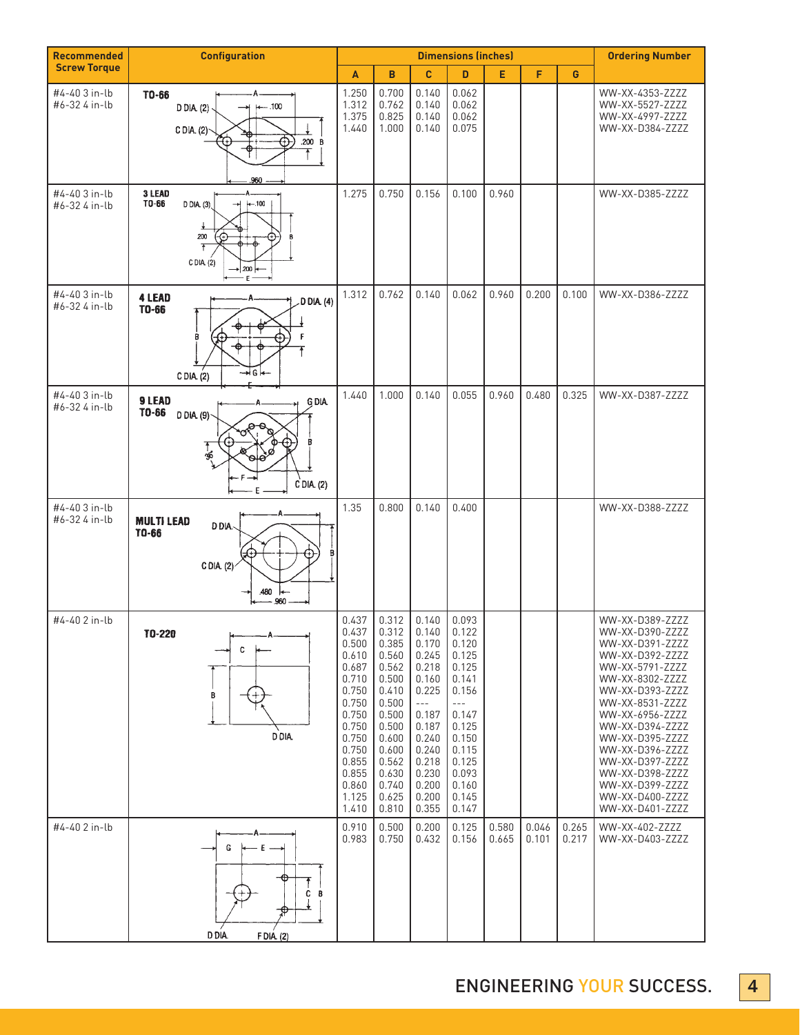| <b>Recommended</b>             | <b>Configuration</b>                                                                                    | <b>Dimensions (inches)</b>                                                                                                                            |                                                                                                                                                       |                                                                                                                                                         |                                                                                                                                                       |                |                | <b>Ordering Number</b> |                                                                                                                                                                                                                                                                                                                                 |
|--------------------------------|---------------------------------------------------------------------------------------------------------|-------------------------------------------------------------------------------------------------------------------------------------------------------|-------------------------------------------------------------------------------------------------------------------------------------------------------|---------------------------------------------------------------------------------------------------------------------------------------------------------|-------------------------------------------------------------------------------------------------------------------------------------------------------|----------------|----------------|------------------------|---------------------------------------------------------------------------------------------------------------------------------------------------------------------------------------------------------------------------------------------------------------------------------------------------------------------------------|
| <b>Screw Torque</b>            |                                                                                                         | A                                                                                                                                                     | B                                                                                                                                                     | C                                                                                                                                                       | D                                                                                                                                                     | E              | F              | G                      |                                                                                                                                                                                                                                                                                                                                 |
| #4-40 3 in-lb<br>#6-32 4 in-lb | TO-66<br>$-.100$<br>$D$ $D$ $A$ $(2)$ .<br>C DIA. (2)<br>.200 $B$<br>Ð<br>.960                          | 1.250<br>1.312<br>1.375<br>1.440                                                                                                                      | 0.700<br>0.762<br>0.825<br>1.000                                                                                                                      | 0.140<br>0.140<br>0.140<br>0.140                                                                                                                        | 0.062<br>0.062<br>0.062<br>0.075                                                                                                                      |                |                |                        | WW-XX-4353-ZZZZ<br>WW-XX-5527-ZZZZ<br>WW-XX-4997-ZZZZ<br>WW-XX-D384-ZZZZ                                                                                                                                                                                                                                                        |
| #4-40 3 in-lb<br>#6-32 4 in-lb | 3 LEAD<br>TO-66<br>$+-.100$<br>$D$ $D$ IA. (3)<br>ᅯ<br>200<br>-6<br>C DIA (2)<br>$\rightarrow$ 200<br>E | 1.275                                                                                                                                                 | 0.750                                                                                                                                                 | 0.156                                                                                                                                                   | 0.100                                                                                                                                                 | 0.960          |                |                        | WW-XX-D385-ZZZZ                                                                                                                                                                                                                                                                                                                 |
| #4-40 3 in-lb<br>#6-32 4 in-lb | <b>4 LEAD</b><br>D DIA (4)<br>TO-66<br>→lG l←<br>CDIA(2)                                                | 1.312                                                                                                                                                 | 0.762                                                                                                                                                 | 0.140                                                                                                                                                   | 0.062                                                                                                                                                 | 0.960          | 0.200          | 0.100                  | WW-XX-D386-ZZZZ                                                                                                                                                                                                                                                                                                                 |
| #4-40 3 in-lb<br>#6-32 4 in-lb | 9 LEAD<br><b>GDIA</b><br>TO-66<br>$D$ DIA (9)<br>ر<br>96<br>$C$ DIA. (2)                                | 1.440                                                                                                                                                 | 1.000                                                                                                                                                 | 0.140                                                                                                                                                   | 0.055                                                                                                                                                 | 0.960          | 0.480          | 0.325                  | WW-XX-D387-ZZZZ                                                                                                                                                                                                                                                                                                                 |
| #4-40 3 in-lb<br>#6-32 4 in-lb | <b>MULTI LEAD</b><br>DDIA.<br>TO-66<br>C DIA $(2)$<br>.480<br>.960                                      | 1.35                                                                                                                                                  | 0.800                                                                                                                                                 | 0.140                                                                                                                                                   | 0.400                                                                                                                                                 |                |                |                        | WW-XX-D388-ZZZZ                                                                                                                                                                                                                                                                                                                 |
| #4-40 2 in-lb                  | 10-220<br>c<br>В<br>D DIA.                                                                              | 0.437<br>0.437<br>0.500<br>0.610<br>0.687<br>0.710<br>0.750<br>0.750<br>0.750<br>0.750<br>0.750<br>0.750<br>0.855<br>0.855<br>0.860<br>1.125<br>1.410 | 0.312<br>0.312<br>0.385<br>0.560<br>0.562<br>0.500<br>0.410<br>0.500<br>0.500<br>0.500<br>0.600<br>0.600<br>0.562<br>0.630<br>0.740<br>0.625<br>0.810 | 0.140<br>0.140<br>0.170<br>0.245<br>0.218<br>0.160<br>0.225<br>$- - -$<br>0.187<br>0.187<br>0.240<br>0.240<br>0.218<br>0.230<br>0.200<br>0.200<br>0.355 | 0.093<br>0.122<br>0.120<br>0.125<br>0.125<br>0.141<br>0.156<br>$  -$<br>0.147<br>0.125<br>0.150<br>0.115<br>0.125<br>0.093<br>0.160<br>0.145<br>0.147 |                |                |                        | WW-XX-D389-ZZZZ<br>WW-XX-D390-ZZZZ<br>WW-XX-D391-ZZZZ<br>WW-XX-D392-ZZZZ<br>WW-XX-5791-ZZZZ<br>WW-XX-8302-ZZZZ<br>WW-XX-D393-ZZZZ<br>WW-XX-8531-ZZZZ<br>WW-XX-6956-ZZZZ<br>WW-XX-D394-ZZZZ<br>WW-XX-D395-ZZZZ<br>WW-XX-D396-ZZZZ<br>WW-XX-D397-ZZZZ<br>WW-XX-D398-ZZZZ<br>WW-XX-D399-ZZZZ<br>WW-XX-D400-ZZZZ<br>WW-XX-D401-ZZZZ |
| #4-40 2 in-lb                  | G<br>– E –<br>C B<br>D DIA.<br>F DIA (2)                                                                | 0.910<br>0.983                                                                                                                                        | 0.500<br>0.750                                                                                                                                        | 0.200<br>0.432                                                                                                                                          | 0.125<br>0.156                                                                                                                                        | 0.580<br>0.665 | 0.046<br>0.101 | 0.265<br>0.217         | WW-XX-402-ZZZZ<br>WW-XX-D403-ZZZZ                                                                                                                                                                                                                                                                                               |